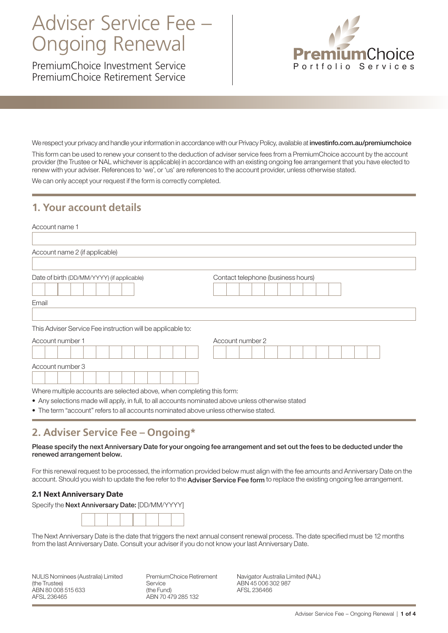# Adviser Service Fee – Ongoing Renewal

PremiumChoice Investment Service PremiumChoice Retirement Service



We respect your privacy and handle your information in accordance with our Privacy Policy, available at <investinfo.com.au/premiumchoice>

This form can be used to renew your consent to the deduction of adviser service fees from a PremiumChoice account by the account provider (the Trustee or NAL whichever is applicable) in accordance with an existing ongoing fee arrangement that you have elected to renew with your adviser. References to 'we', or 'us' are references to the account provider, unless otherwise stated.

We can only accept your request if the form is correctly completed.

### **1. Your account details**

| Account name 1                                                                                     |                                    |
|----------------------------------------------------------------------------------------------------|------------------------------------|
| Account name 2 (if applicable)                                                                     |                                    |
| Date of birth (DD/MM/YYYY) (if applicable)                                                         | Contact telephone (business hours) |
| Email                                                                                              |                                    |
|                                                                                                    |                                    |
| This Adviser Service Fee instruction will be applicable to:                                        |                                    |
| Account number 1                                                                                   | Account number 2                   |
|                                                                                                    |                                    |
| Account number 3                                                                                   |                                    |
|                                                                                                    |                                    |
| Where multiple accounts are selected above, when completing this form:                             |                                    |
| • Any selections made will apply, in full, to all accounts nominated above unless otherwise stated |                                    |

• The term "account" refers to all accounts nominated above unless otherwise stated.

### **2. Adviser Service Fee – Ongoing\***

Please specify the next Anniversary Date for your ongoing fee arrangement and set out the fees to be deducted under the renewed arrangement below.

For this renewal request to be processed, the information provided below must align with the fee amounts and Anniversary Date on the account. Should you wish to update the fee refer to the Adviser Service Fee form to replace the existing ongoing fee arrangement.

#### 2.1 Next Anniversary Date





The Next Anniversary Date is the date that triggers the next annual consent renewal process. The date specified must be 12 months from the last Anniversary Date. Consult your adviser if you do not know your last Anniversary Date.

NULIS Nominees (Australia) Limited (the Trustee) ABN 80 008 515 633 AFSL 236465

PremiumChoice Retirement Service (the Fund) ABN 70 479 285 132

Navigator Australia Limited (NAL) ABN 45 006 302 987 AFSL 236466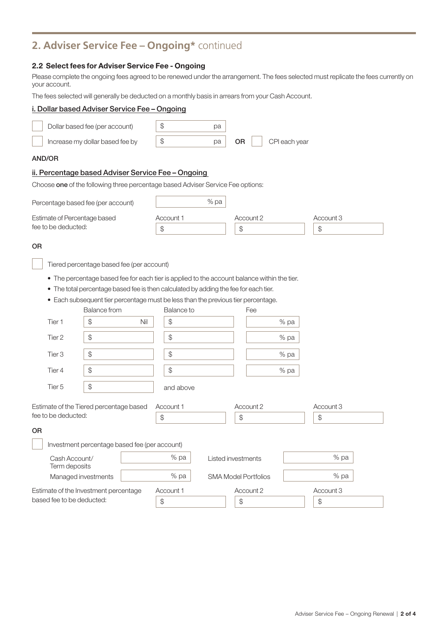### **2. Adviser Service Fee – Ongoing\*** continued

#### 2.2 Select fees for Adviser Service Fee - Ongoing

Please complete the ongoing fees agreed to be renewed under the arrangement. The fees selected must replicate the fees currently on your account.

The fees selected will generally be deducted on a monthly basis in arrears from your Cash Account.

## i. Dollar based Adviser Service Fee – Ongoing Dollar based fee (per account)  $\frac{1}{3}$   $\frac{1}{3}$  pa Increase my dollar based fee by \$ pa OR CPI each year AND/OR ii. Percentage based Adviser Service Fee – Ongoing Choose one of the following three percentage based Adviser Service Fee options: Percentage based fee (per account) example that the way to pay the way to pay the way to pay the way to pay the  $\%$  pay the set of the set of the set of the set of the set of the set of the set of the set of the set of th Estimate of Percentage based Account 1 Account 2 Account 3 fee to be deducted:  $\sqrt{\frac{1}{s}}$   $\sqrt{\frac{1}{s}}$ OR Tiered percentage based fee (per account) • The percentage based fee for each tier is applied to the account balance within the tier. • The total percentage based fee is then calculated by adding the fee for each tier. • Each subsequent tier percentage must be less than the previous tier percentage. Balance from Balance to Fee Tier 1 \$ Nil \$ % pa Tier 2  $\begin{array}{|c|c|c|c|c|}\hline \text{S} & \text{S} & \text{S} & \text{S} \ \hline \end{array}$ Tier 3 \$ \$ % pa Tier 4 \$ \$ % pa Tier 5  $\$\$  and above Estimate of the Tiered percentage based Account 1 Account 2 Account 3 fee to be deducted:  $\sqrt{\frac{2}{3}}$   $\sqrt{\frac{2}{3}}$ OR Investment percentage based fee (per account) Cash Account/ % pa Listed investments % pa Term deposits Managed investments 1 Estimate of the Investment percentage Account 1 Account 2 Account 3 based fee to be deducted:  $\begin{array}{c|c} \hline \text{${\rm s}$} \end{array}$   $\begin{array}{c} \hline \text{${\rm s}$} \end{array}$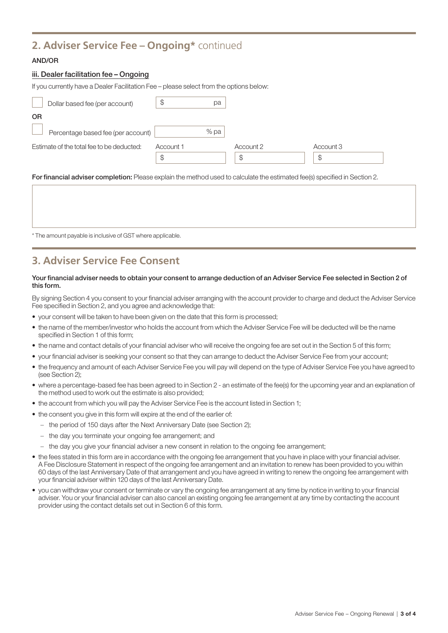### **2. Adviser Service Fee – Ongoing\*** continued

#### AND/OR

#### iii. Dealer facilitation fee – Ongoing

If you currently have a Dealer Facilitation Fee – please select from the options below:

| Dollar based fee (per account)            | ۰D        | рa   |           |           |
|-------------------------------------------|-----------|------|-----------|-----------|
| <b>OR</b>                                 |           |      |           |           |
| Percentage based fee (per account)        |           | % pa |           |           |
| Estimate of the total fee to be deducted: | Account 1 |      | Account 2 | Account 3 |
|                                           | S         |      | \$        | \$        |

For financial adviser completion: Please explain the method used to calculate the estimated fee(s) specified in Section 2.

\* The amount payable is inclusive of GST where applicable.

### **3. Adviser Service Fee Consent**

#### Your financial adviser needs to obtain your consent to arrange deduction of an Adviser Service Fee selected in Section 2 of this form.

By signing Section 4 you consent to your financial adviser arranging with the account provider to charge and deduct the Adviser Service Fee specified in Section 2, and you agree and acknowledge that:

- your consent will be taken to have been given on the date that this form is processed;
- the name of the member/investor who holds the account from which the Adviser Service Fee will be deducted will be the name specified in Section 1 of this form;
- the name and contact details of your financial adviser who will receive the ongoing fee are set out in the Section 5 of this form;
- your financial adviser is seeking your consent so that they can arrange to deduct the Adviser Service Fee from your account;
- the frequency and amount of each Adviser Service Fee you will pay will depend on the type of Adviser Service Fee you have agreed to (see Section 2);
- where a percentage-based fee has been agreed to in Section 2 an estimate of the fee(s) for the upcoming year and an explanation of the method used to work out the estimate is also provided;
- the account from which you will pay the Adviser Service Fee is the account listed in Section 1;
- the consent you give in this form will expire at the end of the earlier of:
	- the period of 150 days after the Next Anniversary Date (see Section 2);
	- the day you terminate your ongoing fee arrangement; and
	- the day you give your financial adviser a new consent in relation to the ongoing fee arrangement;
- the fees stated in this form are in accordance with the ongoing fee arrangement that you have in place with your financial adviser. A Fee Disclosure Statement in respect of the ongoing fee arrangement and an invitation to renew has been provided to you within 60 days of the last Anniversary Date of that arrangement and you have agreed in writing to renew the ongoing fee arrangement with your financial adviser within 120 days of the last Anniversary Date.
- you can withdraw your consent or terminate or vary the ongoing fee arrangement at any time by notice in writing to your financial adviser. You or your financial adviser can also cancel an existing ongoing fee arrangement at any time by contacting the account provider using the contact details set out in Section 6 of this form.